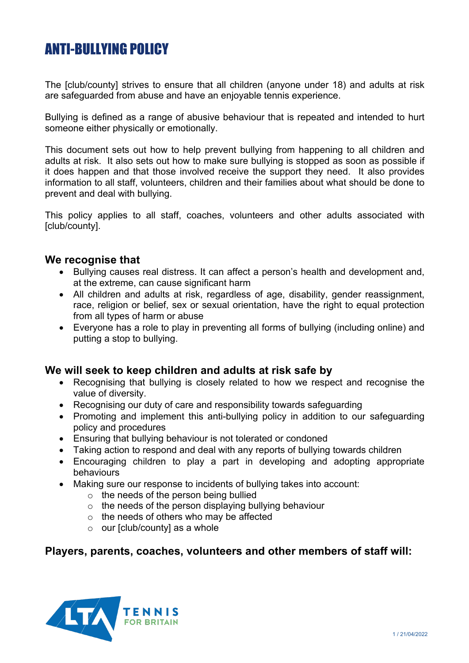# ANTI-BULLYING POLICY

The [club/county] strives to ensure that all children (anyone under 18) and adults at risk are safeguarded from abuse and have an enjoyable tennis experience.

Bullying is defined as a range of abusive behaviour that is repeated and intended to hurt someone either physically or emotionally.

This document sets out how to help prevent bullying from happening to all children and adults at risk. It also sets out how to make sure bullying is stopped as soon as possible if it does happen and that those involved receive the support they need. It also provides information to all staff, volunteers, children and their families about what should be done to prevent and deal with bullying.

This policy applies to all staff, coaches, volunteers and other adults associated with [club/county].

#### **We recognise that**

- Bullying causes real distress. It can affect a person's health and development and, at the extreme, can cause significant harm
- All children and adults at risk, regardless of age, disability, gender reassignment, race, religion or belief, sex or sexual orientation, have the right to equal protection from all types of harm or abuse
- Everyone has a role to play in preventing all forms of bullying (including online) and putting a stop to bullying.

#### **We will seek to keep children and adults at risk safe by**

- Recognising that bullying is closely related to how we respect and recognise the value of diversity.
- Recognising our duty of care and responsibility towards safeguarding
- Promoting and implement this anti-bullying policy in addition to our safeguarding policy and procedures
- Ensuring that bullying behaviour is not tolerated or condoned
- Taking action to respond and deal with any reports of bullying towards children
- Encouraging children to play a part in developing and adopting appropriate behaviours
- Making sure our response to incidents of bullying takes into account:
	- $\circ$  the needs of the person being bullied
	- o the needs of the person displaying bullying behaviour
	- o the needs of others who may be affected
	- $\circ$  our [club/county] as a whole

### **Players, parents, coaches, volunteers and other members of staff will:**

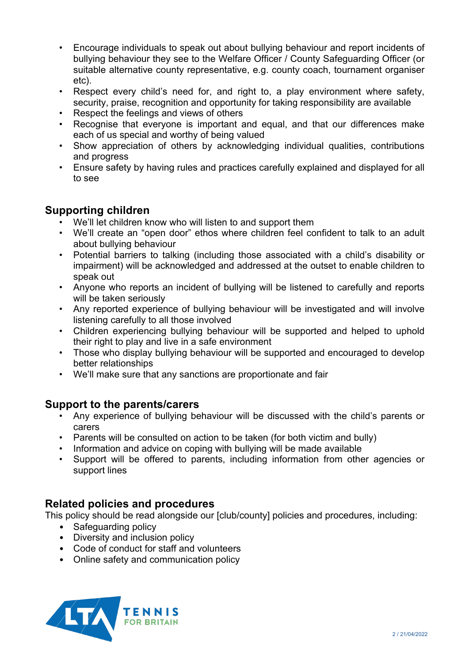- Encourage individuals to speak out about bullying behaviour and report incidents of bullying behaviour they see to the Welfare Officer / County Safeguarding Officer (or suitable alternative county representative, e.g. county coach, tournament organiser etc).
- Respect every child's need for, and right to, a play environment where safety, security, praise, recognition and opportunity for taking responsibility are available
- Respect the feelings and views of others
- Recognise that everyone is important and equal, and that our differences make each of us special and worthy of being valued
- Show appreciation of others by acknowledging individual qualities, contributions and progress
- Ensure safety by having rules and practices carefully explained and displayed for all to see

## **Supporting children**

- We'll let children know who will listen to and support them
- We'll create an "open door" ethos where children feel confident to talk to an adult about bullying behaviour
- Potential barriers to talking (including those associated with a child's disability or impairment) will be acknowledged and addressed at the outset to enable children to speak out
- Anyone who reports an incident of bullying will be listened to carefully and reports will be taken seriously
- Any reported experience of bullying behaviour will be investigated and will involve listening carefully to all those involved
- Children experiencing bullying behaviour will be supported and helped to uphold their right to play and live in a safe environment
- Those who display bullying behaviour will be supported and encouraged to develop better relationships
- We'll make sure that any sanctions are proportionate and fair

## **Support to the parents/carers**

- Any experience of bullying behaviour will be discussed with the child's parents or carers
- Parents will be consulted on action to be taken (for both victim and bully)
- Information and advice on coping with bullying will be made available
- Support will be offered to parents, including information from other agencies or support lines

## **Related policies and procedures**

This policy should be read alongside our [club/county] policies and procedures, including:

- Safeguarding policy
- Diversity and inclusion policy
- Code of conduct for staff and volunteers
- Online safety and communication policy